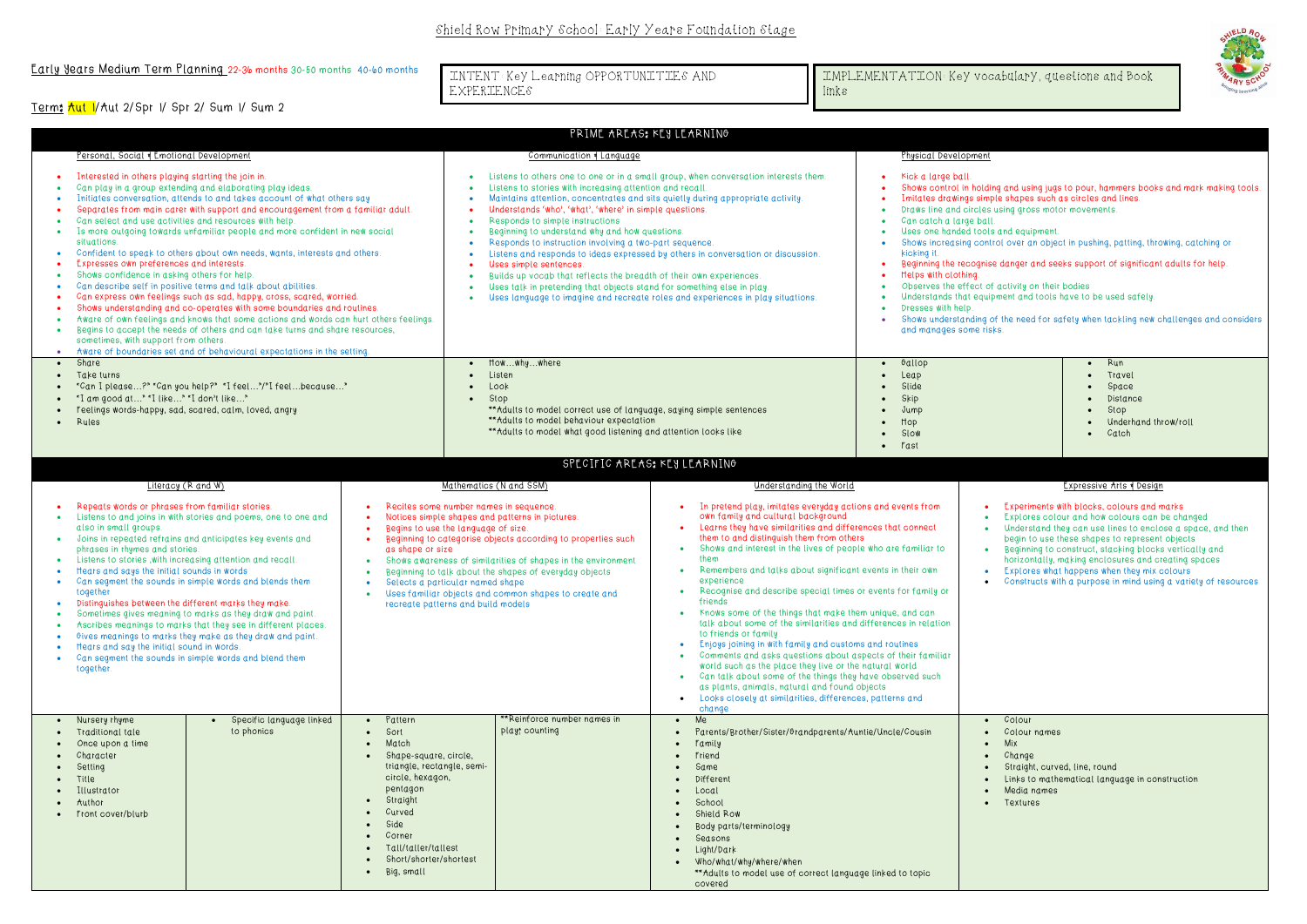# Early Years Medium Term Planning 22-36 months 30-50 months 40-60 months

Term: Aut 1/Aut 2/Spr 1/ Spr 2/ Sum 1/ Sum 2

| PRIME AREAS; KEY LEARNING             |                                                                                                                                                                                                                                                                                                                                                                                                                                                                                                                                                                                                                                                                                                                                                                                                                                                                                                                                                                                                                                                   |                                        |                                                                                                                                                                                                                                                                                             |                                                                                                                                                                                                                                                                                                                                                                                                                                                                                                                                                                                                                                                                                                                                                                                                                                                |                                                                                                                                                                                                                                                                                                                                                                                                                                                                                                                                                                                                                                                                                                                                                                                                                                                                                                                                                                                                                                                            |                                                                                          |                                                                                                                                                                                                                                                                                                                                                                                                                                                                                                                                                                                                                                                                                                                                                                                               |  |  |  |
|---------------------------------------|---------------------------------------------------------------------------------------------------------------------------------------------------------------------------------------------------------------------------------------------------------------------------------------------------------------------------------------------------------------------------------------------------------------------------------------------------------------------------------------------------------------------------------------------------------------------------------------------------------------------------------------------------------------------------------------------------------------------------------------------------------------------------------------------------------------------------------------------------------------------------------------------------------------------------------------------------------------------------------------------------------------------------------------------------|----------------------------------------|---------------------------------------------------------------------------------------------------------------------------------------------------------------------------------------------------------------------------------------------------------------------------------------------|------------------------------------------------------------------------------------------------------------------------------------------------------------------------------------------------------------------------------------------------------------------------------------------------------------------------------------------------------------------------------------------------------------------------------------------------------------------------------------------------------------------------------------------------------------------------------------------------------------------------------------------------------------------------------------------------------------------------------------------------------------------------------------------------------------------------------------------------|------------------------------------------------------------------------------------------------------------------------------------------------------------------------------------------------------------------------------------------------------------------------------------------------------------------------------------------------------------------------------------------------------------------------------------------------------------------------------------------------------------------------------------------------------------------------------------------------------------------------------------------------------------------------------------------------------------------------------------------------------------------------------------------------------------------------------------------------------------------------------------------------------------------------------------------------------------------------------------------------------------------------------------------------------------|------------------------------------------------------------------------------------------|-----------------------------------------------------------------------------------------------------------------------------------------------------------------------------------------------------------------------------------------------------------------------------------------------------------------------------------------------------------------------------------------------------------------------------------------------------------------------------------------------------------------------------------------------------------------------------------------------------------------------------------------------------------------------------------------------------------------------------------------------------------------------------------------------|--|--|--|
|                                       | Personal, Social & Emotional Development                                                                                                                                                                                                                                                                                                                                                                                                                                                                                                                                                                                                                                                                                                                                                                                                                                                                                                                                                                                                          |                                        |                                                                                                                                                                                                                                                                                             | Communication of Language                                                                                                                                                                                                                                                                                                                                                                                                                                                                                                                                                                                                                                                                                                                                                                                                                      |                                                                                                                                                                                                                                                                                                                                                                                                                                                                                                                                                                                                                                                                                                                                                                                                                                                                                                                                                                                                                                                            |                                                                                          | Physical Development                                                                                                                                                                                                                                                                                                                                                                                                                                                                                                                                                                                                                                                                                                                                                                          |  |  |  |
| $\bullet$<br>$\bullet$                | Interested in others playing starting the join in<br>Can play in a group extending and elaborating play ideas.<br>Initiates conversation, attends to and takes account of what others say<br>Separates from main carer with support and encouragement from a familiar adult.<br>Can select and use activities and resources with help.<br>Is more outgoing towards unfamiliar people and more confident in new social<br>situations.<br>Confident to speak to others about own needs, wants, interests and others.<br>Expresses own preferences and interests.<br>Shows confidence in asking others for help.<br>Can describe self in positive terms and talk about abilities.<br>Can express own feelings such as sad, happy, cross, scared, worried.<br>Shows understanding and co-operates with some boundaries and routines.<br>Aware of own feelings and knows that some actions and words can hurt others feelings.<br>Begins to accept the needs of others and can take turns and share resources,<br>sometimes, with support from others. |                                        |                                                                                                                                                                                                                                                                                             | Listens to others one to one or in a small group, when conversation interests them.<br>Listens to stories with increasing attention and recall.<br>Maintains attention, concentrates and sits quietly during appropriate activity.<br>Understands 'who', 'what', 'where' in simple questions.<br>Responds to simple instructions<br>$\bullet$<br>Beginning to understand why and how questions.<br>٠<br>Responds to instruction involving a two-part sequence<br>Listens and responds to ideas expressed by others in conversation or discussion.<br>۰<br>Uses simple sentences.<br>Builds up vocab that reflects the breadth of their own experiences.<br>$\bullet$<br>Uses talk in pretending that objects stand for something else in play.<br>$\bullet$<br>Uses language to imagine and recreate roles and experiences in play situations. |                                                                                                                                                                                                                                                                                                                                                                                                                                                                                                                                                                                                                                                                                                                                                                                                                                                                                                                                                                                                                                                            |                                                                                          | Kick a large ball.<br>Shows control in holding and using jugs to pour, hammers books and mark making tools.<br>Imitates drawings simple shapes such as circles and lines.<br>Draws line and circles using gross motor movements<br>Can catch a large ball.<br>$\bullet$<br>Uses one handed tools and equipment.<br>Shows increasing control over an object in pushing, patting, throwing, catching or<br>kicking it.<br>Beginning the recognise danger and seeks support of significant adults for help.<br>Helps with clothing.<br>Observes the effect of activity on their bodies<br>Understands that equipment and tools have to be used safely.<br>Dresses with help.<br>Shows understanding of the need for safety when tackling new challenges and considers<br>and manages some risks. |  |  |  |
| $\bullet$                             | • Aware of boundaries set and of behavioural expectations in the setting<br>Share<br>Take turns<br>"Can I please?" "Can you help?" "I feel"/"I feelbecause"<br>"I am good at" "I like" "I don't like"<br>Feelings words-happy, sad, scared, calm, loved, angry<br>· Rules                                                                                                                                                                                                                                                                                                                                                                                                                                                                                                                                                                                                                                                                                                                                                                         |                                        |                                                                                                                                                                                                                                                                                             | Howwhywhere<br>Listen<br>$\bullet$<br>Look<br>$\bullet$<br>Stop<br>$\bullet$<br>** Adults to model correct use of language, saying simple sentences<br>** Adults to model behaviour expectation<br>** Adults to model what good listening and attention looks like                                                                                                                                                                                                                                                                                                                                                                                                                                                                                                                                                                             |                                                                                                                                                                                                                                                                                                                                                                                                                                                                                                                                                                                                                                                                                                                                                                                                                                                                                                                                                                                                                                                            | Gallop<br>$\bullet$<br>Leap<br>Slide<br>Skip<br>Jump<br>Hop<br>$\bullet$<br>Slow<br>Fast | $\bullet$ Run<br>• Travel<br>Space<br>Distance<br>$\bullet$<br>Stop<br>$\bullet$<br>Underhand throw/roll<br>• Catch                                                                                                                                                                                                                                                                                                                                                                                                                                                                                                                                                                                                                                                                           |  |  |  |
|                                       |                                                                                                                                                                                                                                                                                                                                                                                                                                                                                                                                                                                                                                                                                                                                                                                                                                                                                                                                                                                                                                                   |                                        |                                                                                                                                                                                                                                                                                             | SPECIFIC AREAS: KEY LEARNING                                                                                                                                                                                                                                                                                                                                                                                                                                                                                                                                                                                                                                                                                                                                                                                                                   |                                                                                                                                                                                                                                                                                                                                                                                                                                                                                                                                                                                                                                                                                                                                                                                                                                                                                                                                                                                                                                                            |                                                                                          |                                                                                                                                                                                                                                                                                                                                                                                                                                                                                                                                                                                                                                                                                                                                                                                               |  |  |  |
|                                       | Literacy (R and W)                                                                                                                                                                                                                                                                                                                                                                                                                                                                                                                                                                                                                                                                                                                                                                                                                                                                                                                                                                                                                                |                                        |                                                                                                                                                                                                                                                                                             | Mathematics (N and SSM)                                                                                                                                                                                                                                                                                                                                                                                                                                                                                                                                                                                                                                                                                                                                                                                                                        | Understanding the World                                                                                                                                                                                                                                                                                                                                                                                                                                                                                                                                                                                                                                                                                                                                                                                                                                                                                                                                                                                                                                    |                                                                                          | Expressive Arts & Design                                                                                                                                                                                                                                                                                                                                                                                                                                                                                                                                                                                                                                                                                                                                                                      |  |  |  |
| $\bullet$<br>$\bullet$ .<br>$\bullet$ | Repeats words or phrases from familiar stories.<br>Listens to and joins in with stories and poems, one to one and<br>$\bullet$<br>also in small groups.<br>Joins in repeated refrains and anticipates key events and<br>$\bullet$<br>phrases in rhymes and stories.<br>Listens to stories, with increasing attention and recall.<br>$\bullet$<br>Itears and says the initial sounds in words<br>$\bullet$<br>Can segment the sounds in simple words and blends them<br>$\bullet$<br>together<br>$\bullet$<br>Distinguishes between the different marks they make.<br>Sometimes gives meaning to marks as they draw and paint<br>Ascribes meanings to marks that they see in different places.<br>Gives meanings to marks they make as they draw and paint.<br>Itears and say the initial sound in words.<br>Can segment the sounds in simple words and blend them<br>together.                                                                                                                                                                    |                                        | Recites some number names in sequence.<br>Notices simple shapes and patterns in pictures.<br>Begins to use the language of size.<br>as shape or size<br>Selects a particular named shape<br>recreate patterns and build models                                                              | Beginning to categorise objects according to properties such<br>Shows awareness of similarities of shapes in the environment<br>Beginning to talk about the shapes of everyday objects<br>Uses familiar objects and common shapes to create and                                                                                                                                                                                                                                                                                                                                                                                                                                                                                                                                                                                                | In pretend play, imitates everyday actions and events from<br>own family and cultural background<br>Learns they have similarities and differences that connect<br>$\bullet$<br>them to and distinguish them from others<br>Shows and interest in the lives of people who are familiar to<br>$\bullet$<br>them<br>Remembers and talks about significant events in their own<br>$\bullet$<br>experience<br>Recognise and describe special times or events for family or<br>$\bullet$<br>friends<br>• Knows some of the things that make them unique, and can<br>talk about some of the similarities and differences in relation<br>to friends or family<br>Enjoys joining in with family and customs and routines<br>$\bullet$<br>Comments and asks questions about aspects of their familiar<br>$\bullet$<br>world such as the place they live or the natural world<br>• Can talk about some of the things they have observed such<br>as plants, animals, natural and found objects<br>• Looks closely at similarities, differences, patterns and<br>change |                                                                                          | Experiments with blocks, colours and marks<br>Explores colour and how colours can be changed<br>Understand they can use lines to enclose a space, and then<br>begin to use these shapes to represent objects<br>Beginning to construct, stacking blocks vertically and<br>$\bullet$<br>horizontally, making enclosures and creating spaces<br>Explores what happens when they mix colours<br>Constructs with a purpose in mind using a variety of resources                                                                                                                                                                                                                                                                                                                                   |  |  |  |
|                                       | • Nursery rhyme<br>• Traditional tale<br>Once upon a time<br>Character<br>Setting<br>Title<br>Illustrator<br>Author<br>• Front cover/blurb                                                                                                                                                                                                                                                                                                                                                                                                                                                                                                                                                                                                                                                                                                                                                                                                                                                                                                        | Specific language linked<br>to phonics | • Pattern<br>Sort<br>$\bullet$<br>Match<br>$\bullet$<br>· Shape-square, circle,<br>triangle, rectangle, semi-<br>circle, hexagon,<br>pentagon<br>Straight<br>$\bullet$<br>Curved<br>Side<br>$\bullet$<br>Corner<br>Tall/taller/tallest<br>Short/shorter/shortest<br>Big, small<br>$\bullet$ | **Reinforce number names in<br>play; counting                                                                                                                                                                                                                                                                                                                                                                                                                                                                                                                                                                                                                                                                                                                                                                                                  | $\bullet$ Me<br>Parents/Brother/Sister/Grandparents/Auntie/Uncle/Cousin<br>$\bullet$<br>• Family<br>Friend<br>Same<br>$\bullet$<br>Different<br>Local<br>School<br>Shield Row<br>Body parts/terminology<br>Seasons<br>Light/Dark<br>• Who/what/why/where/when<br>** Adults to model use of correct language linked to topic<br>covered                                                                                                                                                                                                                                                                                                                                                                                                                                                                                                                                                                                                                                                                                                                     |                                                                                          | • Colour<br>• Colour names<br>Mix<br>Change<br>Straight, curved, line, round<br>Links to mathematical language in construction<br>Media names<br>Textures                                                                                                                                                                                                                                                                                                                                                                                                                                                                                                                                                                                                                                     |  |  |  |



- 
- 
- 
- 
- 
- 
- 
- 
- 

- 
- 
- 
- 
- 
- 
- 

- 
- 
- 
- 
- 
- 
- 
- 

INTENT: Key Learning OPPORTUNITIES AND EXPERIENCES

IMPLEMENTATION: Key vocabulary, questions and Book links